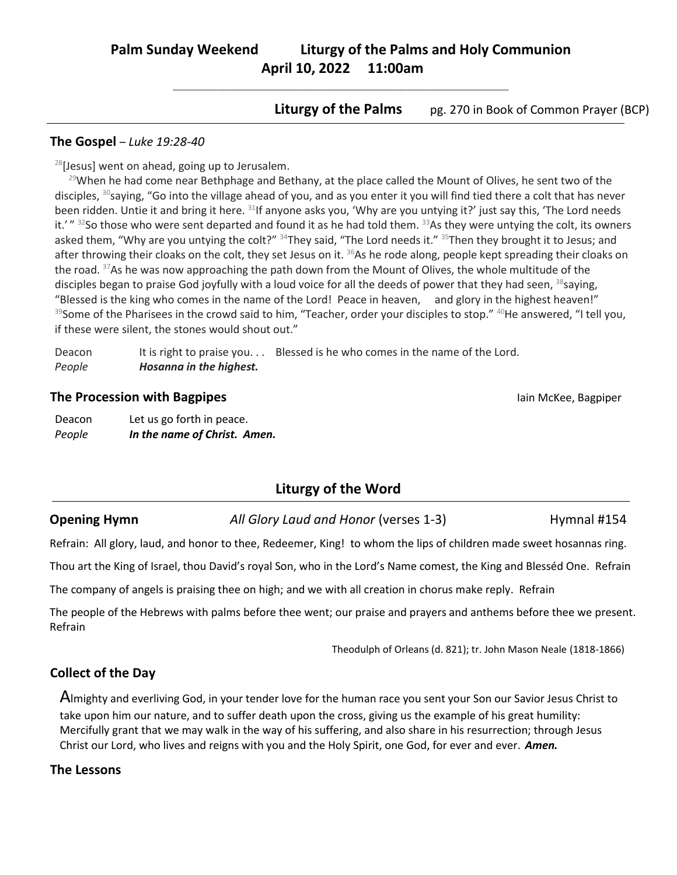# **Palm Sunday Weekend Liturgy of the Palms and Holy Communion April 10, 2022 11:00am**

**\_\_\_\_\_\_\_\_\_\_\_\_\_\_\_\_\_\_\_\_\_\_\_\_\_\_\_\_\_\_\_\_\_\_\_\_\_\_\_\_\_\_\_\_\_\_\_\_\_\_\_\_\_\_\_\_\_\_\_\_\_\_\_\_\_\_\_\_\_\_\_\_\_\_\_\_\_\_\_\_\_\_\_\_\_\_\_\_\_\_\_\_\_\_\_\_\_\_\_\_\_\_\_\_\_\_\_\_\_\_\_\_\_\_\_\_\_\_\_\_\_\_**

**Liturgy of the Palms** pg. 270 in Book of Common Prayer (BCP)

### **The Gospel** – *Luke 19:28-40*

 $^{28}$ [Jesus] went on ahead, going up to Jerusalem.

 $29$ When he had come near Bethphage and Bethany, at the place called the Mount of Olives, he sent two of the disciples, <sup>30</sup>saying, "Go into the village ahead of you, and as you enter it you will find tied there a colt that has never been ridden. Untie it and bring it here. <sup>31</sup>If anyone asks you, 'Why are you untying it?' just say this, 'The Lord needs it.' " <sup>32</sup>So those who were sent departed and found it as he had told them. <sup>33</sup>As they were untying the colt, its owners asked them, "Why are you untying the colt?" <sup>34</sup>They said, "The Lord needs it." <sup>35</sup>Then they brought it to Jesus; and after throwing their cloaks on the colt, they set Jesus on it.  $36$ As he rode along, people kept spreading their cloaks on the road. <sup>37</sup>As he was now approaching the path down from the Mount of Olives, the whole multitude of the disciples began to praise God joyfully with a loud voice for all the deeds of power that they had seen, 38 saying, "Blessed is the king who comes in the name of the Lord! Peace in heaven, and glory in the highest heaven!" 39Some of the Pharisees in the crowd said to him, "Teacher, order your disciples to stop." <sup>40</sup>He answered, "I tell you, if these were silent, the stones would shout out."

Deacon It is right to praise you. . . Blessed is he who comes in the name of the Lord. *People Hosanna in the highest.*

## **The Procession with Bagpipes Interval Contract Contract Contract Contract Contract Contract Contract Contract Contract Contract Contract Contract Contract Contract Contract Contract Contract Contract Contract Contract C**

Deacon Let us go forth in peace. *People In the name of Christ. Amen.*

# **Liturgy of the Word**

**Opening Hymn** *All Glory Laud and Honor* (verses 1-3) Hymnal #154

Refrain: All glory, laud, and honor to thee, Redeemer, King! to whom the lips of children made sweet hosannas ring.

Thou art the King of Israel, thou David's royal Son, who in the Lord's Name comest, the King and Blesséd One. Refrain

The company of angels is praising thee on high; and we with all creation in chorus make reply. Refrain

The people of the Hebrews with palms before thee went; our praise and prayers and anthems before thee we present. Refrain

Theodulph of Orleans (d. 821); tr. John Mason Neale (1818-1866)

## **Collect of the Day**

Almighty and everliving God, in your tender love for the human race you sent your Son our Savior Jesus Christ to take upon him our nature, and to suffer death upon the cross, giving us the example of his great humility: Mercifully grant that we may walk in the way of his suffering, and also share in his resurrection; through Jesus Christ our Lord, who lives and reigns with you and the Holy Spirit, one God, for ever and ever. *Amen.*

## **The Lessons**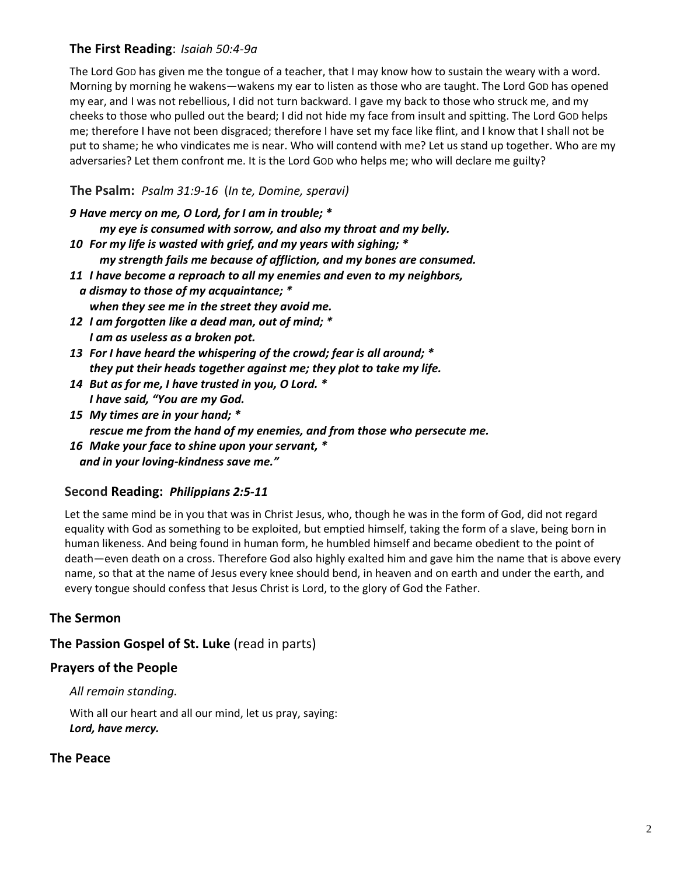## **The First Reading**: *Isaiah 50:4-9a*

The Lord GOD has given me the tongue of a teacher, that I may know how to sustain the weary with a word. Morning by morning he wakens—wakens my ear to listen as those who are taught. The Lord GOD has opened my ear, and I was not rebellious, I did not turn backward. I gave my back to those who struck me, and my cheeks to those who pulled out the beard; I did not hide my face from insult and spitting. The Lord GOD helps me; therefore I have not been disgraced; therefore I have set my face like flint, and I know that I shall not be put to shame; he who vindicates me is near. Who will contend with me? Let us stand up together. Who are my adversaries? Let them confront me. It is the Lord GOD who helps me; who will declare me guilty?

**The Psalm:** *Psalm 31:9-16* (*In te, Domine, speravi)*

| 9 Have mercy on me, O Lord, for I am in trouble; *<br>my eye is consumed with sorrow, and also my throat and my belly.                      |  |
|---------------------------------------------------------------------------------------------------------------------------------------------|--|
| 10 For my life is wasted with grief, and my years with sighing; *<br>my strength fails me because of affliction, and my bones are consumed. |  |
| 11 I have become a reproach to all my enemies and even to my neighbors,<br>a dismay to those of my acquaintance; *                          |  |
| when they see me in the street they avoid me.                                                                                               |  |
| 12 I am forgotten like a dead man, out of mind; *                                                                                           |  |
| I am as useless as a broken pot.                                                                                                            |  |
| 13 For I have heard the whispering of the crowd; fear is all around; *                                                                      |  |
| they put their heads together against me; they plot to take my life.                                                                        |  |
| 14 But as for me, I have trusted in you, O Lord. *                                                                                          |  |
| I have said, "You are my God.                                                                                                               |  |
| 15 My times are in your hand; *                                                                                                             |  |

*rescue me from the hand of my enemies, and from those who persecute me.* 

*16 Make your face to shine upon your servant, \* and in your loving-kindness save me."*

## **Second Reading:** *Philippians 2:5-11*

Let the same mind be in you that was in Christ Jesus, who, though he was in the form of God, did not regard equality with God as something to be exploited, but emptied himself, taking the form of a slave, being born in human likeness. And being found in human form, he humbled himself and became obedient to the point of death—even death on a cross. Therefore God also highly exalted him and gave him the name that is above every name, so that at the name of Jesus every knee should bend, in heaven and on earth and under the earth, and every tongue should confess that Jesus Christ is Lord, to the glory of God the Father.

## **The Sermon**

**The Passion Gospel of St. Luke** (read in parts)

## **Prayers of the People**

*All remain standing.*

With all our heart and all our mind, let us pray, saying: *Lord, have mercy.*

## **The Peace**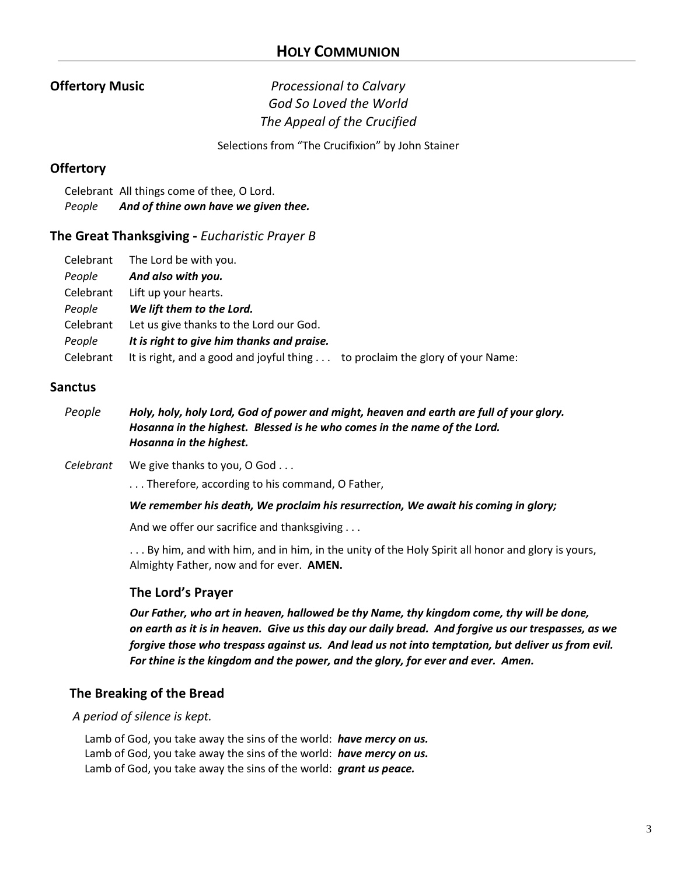## **Offertory Music** *Processional to Calvary God So Loved the World The Appeal of the Crucified*

Selections from "The Crucifixion" by John Stainer

## **Offertory**

Celebrant All things come of thee, O Lord. *People And of thine own have we given thee.*

## **The Great Thanksgiving -** *Eucharistic Prayer B*

| Celebrant | The Lord be with you.                                                        |  |
|-----------|------------------------------------------------------------------------------|--|
| People    | And also with you.                                                           |  |
| Celebrant | Lift up your hearts.                                                         |  |
| People    | We lift them to the Lord.                                                    |  |
| Celebrant | Let us give thanks to the Lord our God.                                      |  |
| People    | It is right to give him thanks and praise.                                   |  |
| Celebrant | It is right, and a good and joyful thing to proclaim the glory of your Name: |  |

## **Sanctus**

- *People Holy, holy, holy Lord, God of power and might, heaven and earth are full of your glory. Hosanna in the highest. Blessed is he who comes in the name of the Lord. Hosanna in the highest.*
- *Celebrant* We give thanks to you, O God . . .

. . . Therefore, according to his command, O Father,

*We remember his death, We proclaim his resurrection, We await his coming in glory;*

And we offer our sacrifice and thanksgiving . . .

. . . By him, and with him, and in him, in the unity of the Holy Spirit all honor and glory is yours, Almighty Father, now and for ever. **AMEN.**

## **The Lord's Prayer**

*Our Father, who art in heaven, hallowed be thy Name, thy kingdom come, thy will be done, on earth as it is in heaven. Give us this day our daily bread. And forgive us our trespasses, as we forgive those who trespass against us. And lead us not into temptation, but deliver us from evil. For thine is the kingdom and the power, and the glory, for ever and ever. Amen.*

## **The Breaking of the Bread**

*A period of silence is kept.*

Lamb of God, you take away the sins of the world: *have mercy on us.* Lamb of God, you take away the sins of the world: *have mercy on us.* Lamb of God, you take away the sins of the world: *grant us peace.*